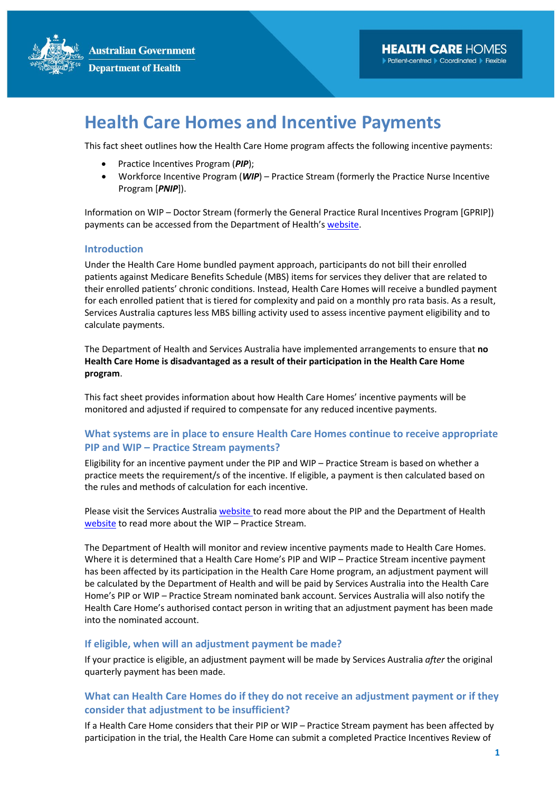

# **Health Care Homes and Incentive Payments**

This fact sheet outlines how the Health Care Home program affects the following incentive payments:

- Practice Incentives Program (*PIP*);
- Workforce Incentive Program (*WIP*) Practice Stream (formerly the Practice Nurse Incentive Program [*PNIP*]).

Information on WIP – Doctor Stream (formerly the General Practice Rural Incentives Program [GPRIP]) payments can be accessed from the Department of Health's [website.](https://www1.health.gov.au/internet/main/publishing.nsf/Content/workforce-incentive-program-doctor-stream-hch)

#### **Introduction**

Under the Health Care Home bundled payment approach, participants do not bill their enrolled patients against Medicare Benefits Schedule (MBS) items for services they deliver that are related to their enrolled patients' chronic conditions. Instead, Health Care Homes will receive a bundled payment for each enrolled patient that is tiered for complexity and paid on a monthly pro rata basis. As a result, Services Australia captures less MBS billing activity used to assess incentive payment eligibility and to calculate payments.

The Department of Health and Services Australia have implemented arrangements to ensure that **no Health Care Home is disadvantaged as a result of their participation in the Health Care Home program**.

This fact sheet provides information about how Health Care Homes' incentive payments will be monitored and adjusted if required to compensate for any reduced incentive payments.

## **What systems are in place to ensure Health Care Homes continue to receive appropriate PIP and WIP – Practice Stream payments?**

Eligibility for an incentive payment under the PIP and WIP – Practice Stream is based on whether a practice meets the requirement/s of the incentive. If eligible, a payment is then calculated based on the rules and methods of calculation for each incentive.

Please visit the Services Australia [website](https://www.servicesaustralia.gov.au/organisations/health-professionals/services/medicare/practice-incentives-program) to read more about the PIP and the Department of Health [website](http://www.health.gov.au/workforceincentiveprogram) to read more about the WIP – Practice Stream.

The Department of Health will monitor and review incentive payments made to Health Care Homes. Where it is determined that a Health Care Home's PIP and WIP – Practice Stream incentive payment has been affected by its participation in the Health Care Home program, an adjustment payment will be calculated by the Department of Health and will be paid by Services Australia into the Health Care Home's PIP or WIP – Practice Stream nominated bank account. Services Australia will also notify the Health Care Home's authorised contact person in writing that an adjustment payment has been made into the nominated account.

#### **If eligible, when will an adjustment payment be made?**

If your practice is eligible, an adjustment payment will be made by Services Australia *after* the original quarterly payment has been made.

## **What can Health Care Homes do if they do not receive an adjustment payment or if they consider that adjustment to be insufficient?**

If a Health Care Home considers that their PIP or WIP – Practice Stream payment has been affected by participation in the trial, the Health Care Home can submit a completed Practice Incentives Review of